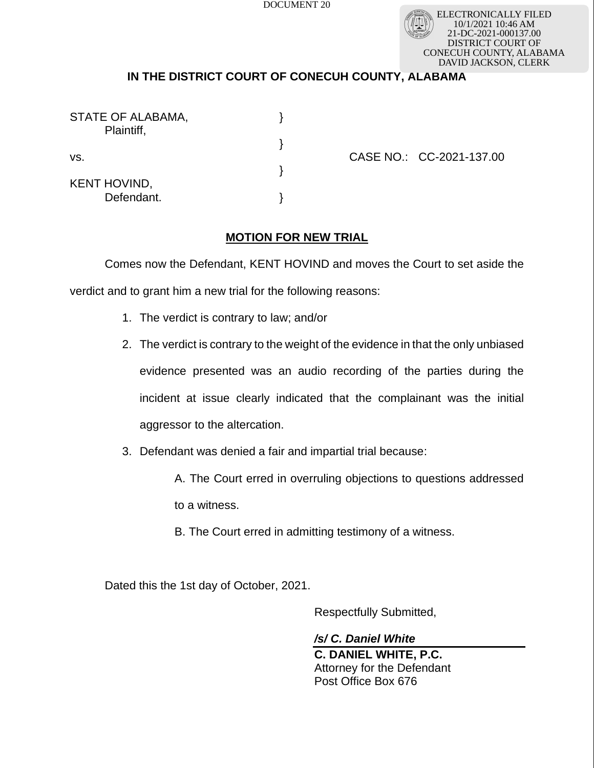DOCUMENT 20

ELECTRONICALLY FILED 10/1/2021 10:46 AM 21-DC-2021-000137.00 DISTRICT COURT OF CONECUH COUNTY, ALABAMA DAVID JACKSON, CLERK

## **IN THE DISTRICT COURT OF CONECUH COUNTY, ALABAMA**

| STATE OF ALABAMA,<br>Plaintiff,   |  |
|-----------------------------------|--|
|                                   |  |
| VS.                               |  |
| <b>KENT HOVIND,</b><br>Defendant. |  |

CASE NO.: CC-2021-137.00

## **MOTION FOR NEW TRIAL**

Comes now the Defendant, KENT HOVIND and moves the Court to set aside the

verdict and to grant him a new trial for the following reasons:

- 1. The verdict is contrary to law; and/or
- 2. The verdict is contrary to the weight of the evidence in that the only unbiased evidence presented was an audio recording of the parties during the incident at issue clearly indicated that the complainant was the initial aggressor to the altercation.
- 3. Defendant was denied a fair and impartial trial because:
	- A. The Court erred in overruling objections to questions addressed

to a witness.

B. The Court erred in admitting testimony of a witness.

Dated this the 1st day of October, 2021.

Respectfully Submitted,

*/s/ C. Daniel White* **C. DANIEL WHITE, P.C.**  Attorney for the Defendant Post Office Box 676